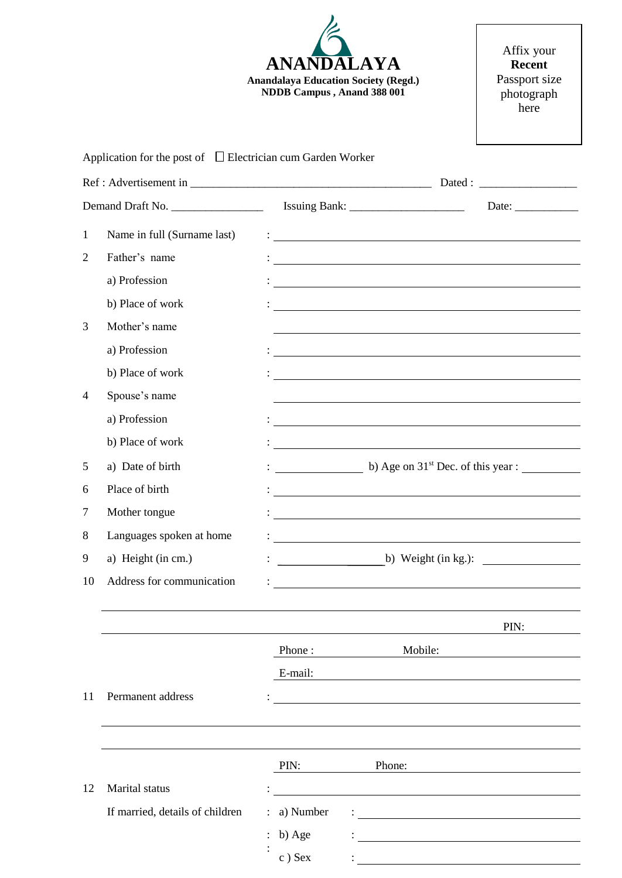

Affix your **Recent** Passport size photograph here

# Application for the post of  $\Box$  Electrician cum Garden Worker

|                | Demand Draft No.                |           |                                                                                                                        | Date: $\frac{1}{\sqrt{1-\frac{1}{2}}\cdot\frac{1}{2}}$ |  |
|----------------|---------------------------------|-----------|------------------------------------------------------------------------------------------------------------------------|--------------------------------------------------------|--|
| $\mathbf{1}$   | Name in full (Surname last)     |           | <u> 1989 - Johann Barnett, fransk politiker (d. 1989)</u>                                                              |                                                        |  |
| $\overline{2}$ | Father's name                   |           | <u> 1989 - Johann Stein, mars an deutscher Stein und der Stein und der Stein und der Stein und der Stein und der</u>   |                                                        |  |
|                | a) Profession                   |           | <u> 1989 - Johann Stoff, Amerikaansk politiker († 1989)</u>                                                            |                                                        |  |
|                | b) Place of work                |           | <u> 1980 - Johann Harry Barn, mars and deutscher Programment († 1951)</u>                                              |                                                        |  |
| 3              | Mother's name                   |           |                                                                                                                        |                                                        |  |
|                | a) Profession                   |           | and the control of the control of the control of the control of the control of the control of the control of the       |                                                        |  |
|                | b) Place of work                |           | <u> 1988 - Andrea Brand, amerikansk politik (d. 1988)</u>                                                              |                                                        |  |
| 4              | Spouse's name                   |           |                                                                                                                        |                                                        |  |
|                | a) Profession                   |           | <u> Andreas Andreas Andreas Andreas Andreas Andreas Andreas Andreas Andreas Andreas Andreas Andreas Andreas Andr</u>   |                                                        |  |
|                | b) Place of work                |           | <u> 1989 - Johann Barn, mars et al. (b. 1989)</u>                                                                      |                                                        |  |
| 5              | a) Date of birth                |           | b) Age on $31st$ Dec. of this year :                                                                                   |                                                        |  |
| 6              | Place of birth                  |           | <u> 2008 - Jan Samuel Barbara, martin da shekara 1980 - An tsa masa na shekara 1980 - An tsa masa na shekara 198</u>   |                                                        |  |
| 7              | Mother tongue                   |           | <u> 1989 - Johann Stoff, deutscher Stoffen und der Stoffen und der Stoffen und der Stoffen und der Stoffen und der</u> |                                                        |  |
| 8              | Languages spoken at home        |           |                                                                                                                        |                                                        |  |
| 9              | a) Height (in cm.)              |           | b) Weight (in kg.): $\qquad \qquad$                                                                                    |                                                        |  |
| 10             | Address for communication       |           | <u> 1980 - Johann Stoff, deutscher Stoffen und der Stoffen und der Stoffen und der Stoffen und der Stoffen und d</u>   |                                                        |  |
|                |                                 |           |                                                                                                                        |                                                        |  |
|                |                                 |           |                                                                                                                        | PIN:                                                   |  |
|                |                                 | Phone:    | Mobile:                                                                                                                |                                                        |  |
|                |                                 | E-mail:   |                                                                                                                        |                                                        |  |
| 11             | Permanent address               |           |                                                                                                                        |                                                        |  |
|                |                                 |           |                                                                                                                        |                                                        |  |
|                |                                 |           |                                                                                                                        |                                                        |  |
|                |                                 | PIN:      | Phone:                                                                                                                 |                                                        |  |
| 12             | Marital status                  |           |                                                                                                                        |                                                        |  |
|                | If married, details of children | a) Number |                                                                                                                        |                                                        |  |
|                |                                 | b) Age    |                                                                                                                        |                                                        |  |
|                |                                 | c) Sex    |                                                                                                                        |                                                        |  |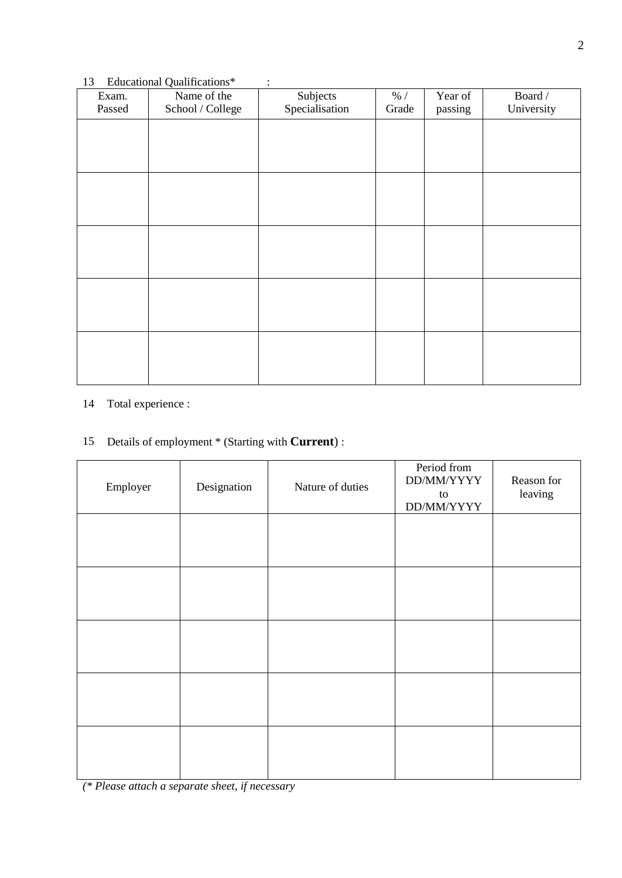### 13 Educational Qualifications\* :

| Exam.<br>Passed | Name of the<br>School / College | Subjects<br>Specialisation | $\%$ /<br>Grade | Year of<br>passing | Board /<br>University |
|-----------------|---------------------------------|----------------------------|-----------------|--------------------|-----------------------|
|                 |                                 |                            |                 |                    |                       |
|                 |                                 |                            |                 |                    |                       |
|                 |                                 |                            |                 |                    |                       |
|                 |                                 |                            |                 |                    |                       |
|                 |                                 |                            |                 |                    |                       |
|                 |                                 |                            |                 |                    |                       |
|                 |                                 |                            |                 |                    |                       |
|                 |                                 |                            |                 |                    |                       |
|                 |                                 |                            |                 |                    |                       |
|                 |                                 |                            |                 |                    |                       |
|                 |                                 |                            |                 |                    |                       |
|                 |                                 |                            |                 |                    |                       |
|                 |                                 |                            |                 |                    |                       |

### 14 Total experience :

# 15 Details of employment \* (Starting with **Current**) :

| Employer | Designation | Nature of duties | Period from<br>DD/MM/YYYY<br>to<br>DD/MM/YYYY | Reason for<br>leaving |
|----------|-------------|------------------|-----------------------------------------------|-----------------------|
|          |             |                  |                                               |                       |
|          |             |                  |                                               |                       |
|          |             |                  |                                               |                       |
|          |             |                  |                                               |                       |
|          |             |                  |                                               |                       |

*(\* Please attach a separate sheet, if necessary*